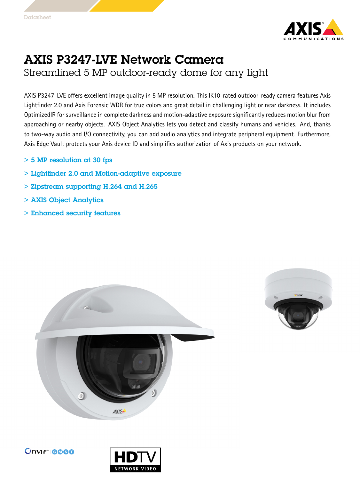

## AXIS P3247-LVE Network Camera Streamlined 5 MP outdoor-ready dome for any light

AXIS P3247-LVE offers excellent image quality in 5 MP resolution. This IK10-rated outdoor-ready camera features Axis Lightfinder 2.0 and Axis Forensic WDR for true colors and great detail in challenging light or near darkness. It includes OptimizedIR for surveillance in complete darkness and motion-adaptive exposure significantly reduces motion blur from approaching or nearby objects. AXIS Object Analytics lets you detect and classify humans and vehicles. And, thanks to two-way audio and I/O connectivity, you can add audio analytics and integrate peripheral equipment. Furthermore, Axis Edge Vault protects your Axis device ID and simplifies authorization of Axis products on your network.

- > 5 MP resolution at 30 fps
- > Lightfinder 2.0 and Motion-adaptive exposure
- > Zipstream supporting H.264 and H.265
- > AXIS Object Analytics
- > Enhanced security features







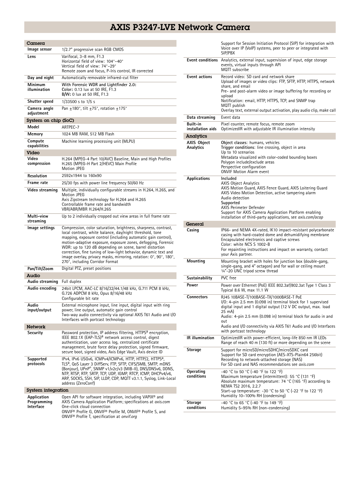## AXIS P3247-LVE Network Camera

| Camera                                  |                                                                                                                                                                                                                                                                                                                                                                                                                                                                                                     |  |
|-----------------------------------------|-----------------------------------------------------------------------------------------------------------------------------------------------------------------------------------------------------------------------------------------------------------------------------------------------------------------------------------------------------------------------------------------------------------------------------------------------------------------------------------------------------|--|
| lmage sensor                            | 1/2.7" progressive scan RGB CMOS                                                                                                                                                                                                                                                                                                                                                                                                                                                                    |  |
| Lens                                    | Varifocal, 3-8 mm, F1.3<br>Horizontal field of view: 104°-40°<br>Vertical field of view: 74°-29°<br>Remote zoom and focus, P-Iris control, IR corrected                                                                                                                                                                                                                                                                                                                                             |  |
| Day and night                           | Automatically removable infrared-cut filter                                                                                                                                                                                                                                                                                                                                                                                                                                                         |  |
| Minimum<br>illumination                 | With Forensic WDR and Lightfinder 2.0:<br>Color: 0.13 lux at 50 IRE, F1.3<br><b>B/W:</b> 0 lux at 50 IRE, F1.3                                                                                                                                                                                                                                                                                                                                                                                      |  |
| Shutter speed                           | 1/33500 s to 1/5 s                                                                                                                                                                                                                                                                                                                                                                                                                                                                                  |  |
| Camera angle<br>adjustment              | Pan $\pm$ 180°, tilt $\pm$ 75°, rotation $\pm$ 175°                                                                                                                                                                                                                                                                                                                                                                                                                                                 |  |
| System on chip (SoC)                    |                                                                                                                                                                                                                                                                                                                                                                                                                                                                                                     |  |
| Model                                   | ARTPEC-7                                                                                                                                                                                                                                                                                                                                                                                                                                                                                            |  |
| Memory                                  | 1024 MB RAM, 512 MB Flash                                                                                                                                                                                                                                                                                                                                                                                                                                                                           |  |
| Compute<br>capabilities<br>Video        | Machine learning processing unit (MLPU)                                                                                                                                                                                                                                                                                                                                                                                                                                                             |  |
| Video<br>compression                    | H.264 (MPEG-4 Part 10/AVC) Baseline, Main and High Profiles<br>H.265 (MPEG-H Part 2/HEVC) Main Profile<br>Motion JPEG                                                                                                                                                                                                                                                                                                                                                                               |  |
| Resolution                              | 2592x1944 to 160x90                                                                                                                                                                                                                                                                                                                                                                                                                                                                                 |  |
| Frame rate                              | 25/30 fps with power line frequency 50/60 Hz                                                                                                                                                                                                                                                                                                                                                                                                                                                        |  |
| Video streaming                         | Multiple, individually configurable streams in H.264, H.265, and<br>Motion JPEG<br>Axis Zipstream technology for H.264 and H.265<br>Controllable frame rate and bandwidth<br>VBR/ABR/MBR H.264/H.265                                                                                                                                                                                                                                                                                                |  |
| Multi-view<br>streaming                 | Up to 2 individually cropped out view areas in full frame rate                                                                                                                                                                                                                                                                                                                                                                                                                                      |  |
| lmage settings                          | Compression, color saturation, brightness, sharpness, contrast,<br>local contrast, white balance, day/night threshold, tone<br>mapping, exposure control (including automatic gain control),<br>motion-adaptive exposure, exposure zones, defogging, Forensic<br>WDR: up to 120 dB depending on scene, barrel distortion<br>correction, fine tuning of low-light behavior, dynamic text and<br>image overlay, privacy masks, mirroring, rotation: 0°, 90°, 180°,<br>270°, including Corridor Format |  |
| Pan/Tilt/Zoom                           | Digital PTZ, preset positions                                                                                                                                                                                                                                                                                                                                                                                                                                                                       |  |
| Audio                                   |                                                                                                                                                                                                                                                                                                                                                                                                                                                                                                     |  |
| Audio streaming                         | Full duplex                                                                                                                                                                                                                                                                                                                                                                                                                                                                                         |  |
| Audio encoding                          | 24bit LPCM, AAC-LC 8/16/32/44.1/48 kHz, G.711 PCM 8 kHz,<br>G.726 ADPCM 8 kHz, Opus 8/16/48 kHz<br>Configurable bit rate                                                                                                                                                                                                                                                                                                                                                                            |  |
| Audio<br>input/output                   | External microphone input, line input, digital input with ring<br>power, line output, automatic gain control<br>Two-way audio connectivity via optional AXIS T61 Audio and I/O<br>Interfaces with portcast technology                                                                                                                                                                                                                                                                               |  |
| <b>Network</b>                          |                                                                                                                                                                                                                                                                                                                                                                                                                                                                                                     |  |
| Security                                | Password protection, IP address filtering, HTTPS <sup>a</sup> encryption,<br>IEEE 802.1X (EAP-TLS) <sup>a</sup> network access control, digest<br>authentication, user access log, centralized certificate<br>management, brute force delay protection, signed firmware,<br>secure boot, signed video, Axis Edge Vault, Axis device ID                                                                                                                                                              |  |
| Supported<br>protocols                  | IPv4, IPv6 USGv6, ICMPv4/ICMPv6, HTTP, HTTP/2, HTTPS <sup>a</sup> ,<br>TLS <sup>a</sup> , QoS Layer 3 DiffServ, FTP, SFTP, CIFS/SMB, SMTP, mDNS<br>(Bonjour), UPnP®, SNMP v1/v2c/v3 (MIB-II), DNS/DNSv6, DDNS,<br>NTP, RTSP, RTP, SRTP, TCP, UDP, IGMP, RTCP, ICMP, DHCPv4/v6,<br>ARP, SOCKS, SSH, SIP, LLDP, CDP, MQTT v3.1.1, Syslog, Link-Local<br>address (ZeroConf)                                                                                                                            |  |
| System integration                      |                                                                                                                                                                                                                                                                                                                                                                                                                                                                                                     |  |
| Application<br>Programming<br>Interface | Open API for software integration, including VAPIX <sup>®</sup> and<br>AXIS Camera Application Platform; specifications at axis.com<br>One-click cloud connection<br>ONVIF® Profile G, ONVIF® Profile M, ONVIF® Profile S, and<br>ONVIF <sup>®</sup> Profile T, specification at onvif.org                                                                                                                                                                                                          |  |

|                               | Support for Session Initiation Protocol (SIP) for integration with<br>Voice over IP (VoIP) systems, peer to peer or integrated with<br>SIP/PBX                                                                                                                                                                                                                 |
|-------------------------------|----------------------------------------------------------------------------------------------------------------------------------------------------------------------------------------------------------------------------------------------------------------------------------------------------------------------------------------------------------------|
|                               | Event conditions Analytics, external input, supervision of input, edge storage<br>events, virtual inputs through API<br><b>MQTT</b> subscribe                                                                                                                                                                                                                  |
| <b>Event actions</b>          | Record video: SD card and network share<br>Upload of images or video clips: FTP, SFTP, HTTP, HTTPS, network<br>share, and email<br>Pre- and post-alarm video or image buffering for recording or<br>upload<br>Notification: email, HTTP, HTTPS, TCP, and SNMP trap<br>MQTT publish<br>Overlay text, external output activation, play audio clip, make call     |
| Data streaming                | Event data                                                                                                                                                                                                                                                                                                                                                     |
| Built-in<br>installation aids | Pixel counter, remote focus, remote zoom<br>Optimized R with adjustable IR illumination intensity                                                                                                                                                                                                                                                              |
| Analytics                     |                                                                                                                                                                                                                                                                                                                                                                |
| AXIS Object<br>Analytics      | Object classes: humans, vehicles<br>Trigger conditions: line crossing, object in area<br>Up to 10 scenarios<br>Metadata visualized with color-coded bounding boxes<br>Polygon include/exclude areas<br>Perspective configuration<br><b>ONVIF Motion Alarm event</b>                                                                                            |
| Applications                  | Included<br><b>AXIS Object Analytics</b><br>AXIS Motion Guard, AXIS Fence Guard, AXIS Loitering Guard<br>AXIS Video Motion Detection, active tampering alarm<br>Audio detection<br>Supported<br>AXIS Perimeter Defender<br>Support for AXIS Camera Application Platform enabling<br>installation of third-party applications, see <i>axis.com/acap</i>         |
| General                       |                                                                                                                                                                                                                                                                                                                                                                |
| Casing                        | IP66- and NEMA 4X-rated, IK10 impact-resistant polycarbonate<br>casing with hard-coated dome and dehumidifying membrane<br>Encapsulated electronics and captive screws<br>Color: white NCS S 1002-B<br>For repainting instructions and impact on warranty, contact<br>your Axis partner.                                                                       |
| Mounting                      | Mounting bracket with holes for junction box (double-gang,<br>single-gang, and 4" octagon) and for wall or ceiling mount<br>1/4"-20 UNC tripod screw thread                                                                                                                                                                                                    |
| Sustainability                | PVC free                                                                                                                                                                                                                                                                                                                                                       |
| Power                         | Power over Ethernet (PoE) IEEE 802.3af/802.3at Type 1 Class 3<br>Typical 8.6 W, max 11.1 W                                                                                                                                                                                                                                                                     |
| <b>Connectors</b>             | RJ45 10BASE-T/100BASE-TX/1000BASE-T PoE<br>$1/0$ : 4-pin 2.5 mm (0.098 in) terminal block for 1 supervised<br>digital input and 1 digital output (12 V DC output, max. load<br>25 mA)<br>Audio: 4-pin 2.5 mm (0.098 in) terminal block for audio in and<br>out<br>Audio and I/O connectivity via AXIS T61 Audio and I/O Interfaces<br>with portcast technology |
| <b>IR</b> illumination        | OptimizedIR with power-efficient, long-life 850 nm IR LEDs<br>Range of reach 40 m (130 ft) or more depending on the scene                                                                                                                                                                                                                                      |
| Storage                       | Support for microSD/microSDHC/microSDXC card<br>Support for SD card encryption (AES-XTS-Plain64 256bit)<br>Recording to network-attached storage (NAS)<br>For SD card and NAS recommendations see axis.com                                                                                                                                                     |
| Operating<br>conditions       | -40 °C to 50 °C (-40 °F to 122 °F)<br>Maximum temperature (intermittent): 55 °C (131 °F)<br>Absolute maximum temperature: $74 °C$ (165 °F) according to<br>NEMA TS2 2016, 2.2.7<br>Start-up temperature: -30 °C to 50 °C (-22 °F to 122 °F)<br>Humidity 10-100% RH (condensing)                                                                                |
| Storage                       | -40 °C to 65 °C (-40 °F to 149 °F)                                                                                                                                                                                                                                                                                                                             |
| conditions                    | Humidity 5-95% RH (non-condensing)                                                                                                                                                                                                                                                                                                                             |